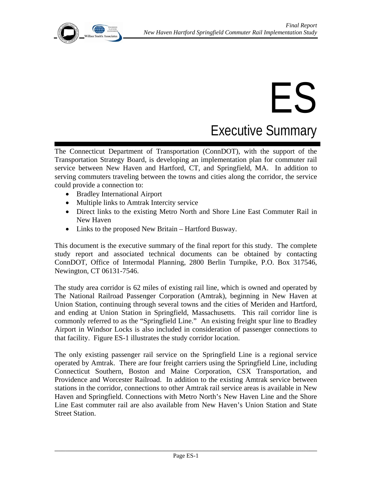

# ES

Executive Summary

The Connecticut Department of Transportation (ConnDOT), with the support of the Transportation Strategy Board, is developing an implementation plan for commuter rail service between New Haven and Hartford, CT, and Springfield, MA. In addition to serving commuters traveling between the towns and cities along the corridor, the service could provide a connection to:

- Bradley International Airport
- Multiple links to Amtrak Intercity service
- Direct links to the existing Metro North and Shore Line East Commuter Rail in New Haven
- Links to the proposed New Britain Hartford Busway.

This document is the executive summary of the final report for this study. The complete study report and associated technical documents can be obtained by contacting ConnDOT, Office of Intermodal Planning, 2800 Berlin Turnpike, P.O. Box 317546, Newington, CT 06131-7546.

The study area corridor is 62 miles of existing rail line, which is owned and operated by The National Railroad Passenger Corporation (Amtrak), beginning in New Haven at Union Station, continuing through several towns and the cities of Meriden and Hartford, and ending at Union Station in Springfield, Massachusetts. This rail corridor line is commonly referred to as the "Springfield Line." An existing freight spur line to Bradley Airport in Windsor Locks is also included in consideration of passenger connections to that facility. Figure ES-1 illustrates the study corridor location.

The only existing passenger rail service on the Springfield Line is a regional service operated by Amtrak. There are four freight carriers using the Springfield Line, including Connecticut Southern, Boston and Maine Corporation, CSX Transportation, and Providence and Worcester Railroad. In addition to the existing Amtrak service between stations in the corridor, connections to other Amtrak rail service areas is available in New Haven and Springfield. Connections with Metro North's New Haven Line and the Shore Line East commuter rail are also available from New Haven's Union Station and State Street Station.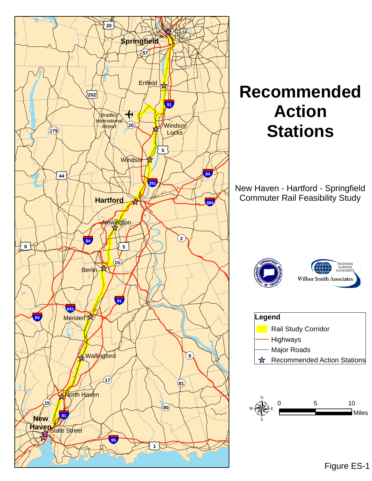

# **Recommended Action Stations**

New Haven - Hartford - Springfield Commuter Rail Feasibility Study







Figure ES-1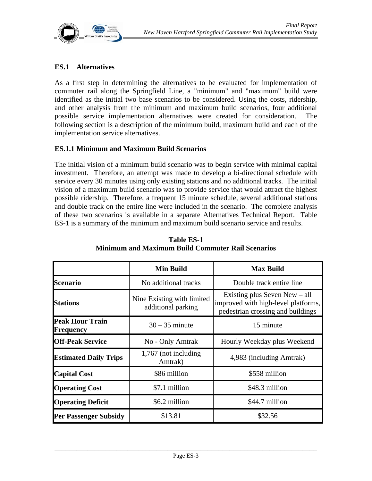

#### **ES.1 Alternatives**

As a first step in determining the alternatives to be evaluated for implementation of commuter rail along the Springfield Line, a "minimum" and "maximum" build were identified as the initial two base scenarios to be considered. Using the costs, ridership, and other analysis from the minimum and maximum build scenarios, four additional possible service implementation alternatives were created for consideration. The following section is a description of the minimum build, maximum build and each of the implementation service alternatives.

#### **ES.1.1 Minimum and Maximum Build Scenarios**

The initial vision of a minimum build scenario was to begin service with minimal capital investment. Therefore, an attempt was made to develop a bi-directional schedule with service every 30 minutes using only existing stations and no additional tracks. The initial vision of a maximum build scenario was to provide service that would attract the highest possible ridership. Therefore, a frequent 15 minute schedule, several additional stations and double track on the entire line were included in the scenario. The complete analysis of these two scenarios is available in a separate Alternatives Technical Report. Table ES-1 is a summary of the minimum and maximum build scenario service and results.

|                                     | <b>Min Build</b>                                 | <b>Max Build</b>                                                                                            |
|-------------------------------------|--------------------------------------------------|-------------------------------------------------------------------------------------------------------------|
| <b>Scenario</b>                     | No additional tracks                             | Double track entire line                                                                                    |
| <b>Stations</b>                     | Nine Existing with limited<br>additional parking | Existing plus Seven New $-$ all<br>improved with high-level platforms,<br>pedestrian crossing and buildings |
| <b>Peak Hour Train</b><br>Frequency | $30 - 35$ minute                                 | 15 minute                                                                                                   |
| <b>Off-Peak Service</b>             | No - Only Amtrak                                 | Hourly Weekday plus Weekend                                                                                 |
| <b>Estimated Daily Trips</b>        | 1,767 (not including<br>Amtrak)                  | 4,983 (including Amtrak)                                                                                    |
| <b>Capital Cost</b>                 | \$86 million                                     | \$558 million                                                                                               |
| <b>Operating Cost</b>               | \$7.1 million                                    | \$48.3 million                                                                                              |
| <b>Operating Deficit</b>            | \$6.2 million                                    | \$44.7 million                                                                                              |
| <b>Per Passenger Subsidy</b>        | \$13.81                                          | \$32.56                                                                                                     |

**Table ES-1 Minimum and Maximum Build Commuter Rail Scenarios**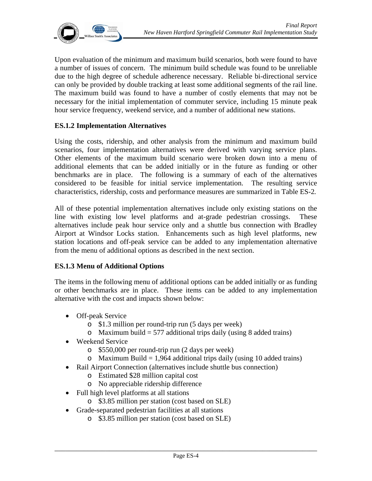

Upon evaluation of the minimum and maximum build scenarios, both were found to have a number of issues of concern. The minimum build schedule was found to be unreliable due to the high degree of schedule adherence necessary. Reliable bi-directional service can only be provided by double tracking at least some additional segments of the rail line. The maximum build was found to have a number of costly elements that may not be necessary for the initial implementation of commuter service, including 15 minute peak hour service frequency, weekend service, and a number of additional new stations.

#### **ES.1.2 Implementation Alternatives**

Using the costs, ridership, and other analysis from the minimum and maximum build scenarios, four implementation alternatives were derived with varying service plans. Other elements of the maximum build scenario were broken down into a menu of additional elements that can be added initially or in the future as funding or other benchmarks are in place. The following is a summary of each of the alternatives considered to be feasible for initial service implementation. The resulting service characteristics, ridership, costs and performance measures are summarized in Table ES-2*.*

All of these potential implementation alternatives include only existing stations on the line with existing low level platforms and at-grade pedestrian crossings. These alternatives include peak hour service only and a shuttle bus connection with Bradley Airport at Windsor Locks station. Enhancements such as high level platforms, new station locations and off-peak service can be added to any implementation alternative from the menu of additional options as described in the next section.

#### **ES.1.3 Menu of Additional Options**

The items in the following menu of additional options can be added initially or as funding or other benchmarks are in place. These items can be added to any implementation alternative with the cost and impacts shown below:

- Off-peak Service
	- o \$1.3 million per round-trip run (5 days per week)
	- o Maximum build = 577 additional trips daily (using 8 added trains)
- Weekend Service
	- o \$550,000 per round-trip run (2 days per week)
	- o Maximum Build = 1,964 additional trips daily (using 10 added trains)
- Rail Airport Connection (alternatives include shuttle bus connection)
	- o Estimated \$28 million capital cost
	- o No appreciable ridership difference
- Full high level platforms at all stations
	- o \$3.85 million per station (cost based on SLE)
- Grade-separated pedestrian facilities at all stations
	- o \$3.85 million per station (cost based on SLE)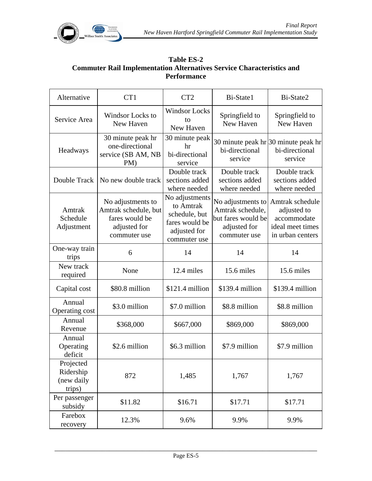

# **Table ES-2 Commuter Rail Implementation Alternatives Service Characteristics and Performance**

| Alternative                                    | CT1                                                                                         | CT <sub>2</sub>                                                                                | Bi-State1                                                                                   | Bi-State2                                                                             |
|------------------------------------------------|---------------------------------------------------------------------------------------------|------------------------------------------------------------------------------------------------|---------------------------------------------------------------------------------------------|---------------------------------------------------------------------------------------|
| Service Area                                   | Windsor Locks to<br>New Haven                                                               | <b>Windsor Locks</b><br>to<br>New Haven                                                        | Springfield to<br>New Haven                                                                 | Springfield to<br>New Haven                                                           |
| Headways                                       | 30 minute peak hr<br>one-directional<br>service (SB AM, NB<br>PM)                           | 30 minute peak<br>hr<br>bi-directional<br>service                                              | 30 minute peak $\ln 30$ minute peak $\ln$<br>bi-directional<br>service                      | bi-directional<br>service                                                             |
| Double Track                                   | No new double track                                                                         | Double track<br>sections added<br>where needed                                                 | Double track<br>sections added<br>where needed                                              | Double track<br>sections added<br>where needed                                        |
| Amtrak<br>Schedule<br>Adjustment               | No adjustments to<br>Amtrak schedule, but<br>fares would be<br>adjusted for<br>commuter use | No adjustments<br>to Amtrak<br>schedule, but<br>fares would be<br>adjusted for<br>commuter use | No adjustments to<br>Amtrak schedule,<br>but fares would be<br>adjusted for<br>commuter use | Amtrak schedule<br>adjusted to<br>accommodate<br>ideal meet times<br>in urban centers |
| One-way train<br>trips                         | 6                                                                                           | 14                                                                                             | 14                                                                                          | 14                                                                                    |
| New track<br>required                          | None                                                                                        | 12.4 miles                                                                                     | 15.6 miles                                                                                  | 15.6 miles                                                                            |
| Capital cost                                   | \$80.8 million                                                                              | $$121.4$ million                                                                               | \$139.4 million                                                                             | \$139.4 million                                                                       |
| Annual<br>Operating cost                       | \$3.0 million                                                                               | \$7.0 million                                                                                  | \$8.8 million                                                                               | \$8.8 million                                                                         |
| Annual<br>Revenue                              | \$368,000                                                                                   | \$667,000                                                                                      | \$869,000                                                                                   | \$869,000                                                                             |
| Annual<br>Operating<br>deficit                 | \$2.6 million                                                                               | \$6.3 million                                                                                  | \$7.9 million                                                                               | \$7.9 million                                                                         |
| Projected<br>Ridership<br>(new daily<br>trips) | 872                                                                                         | 1,485                                                                                          | 1,767                                                                                       | 1,767                                                                                 |
| Per passenger<br>subsidy                       | \$11.82                                                                                     | \$16.71                                                                                        | \$17.71                                                                                     | \$17.71                                                                               |
| Farebox<br>recovery                            | 12.3%                                                                                       | 9.6%                                                                                           | 9.9%                                                                                        | 9.9%                                                                                  |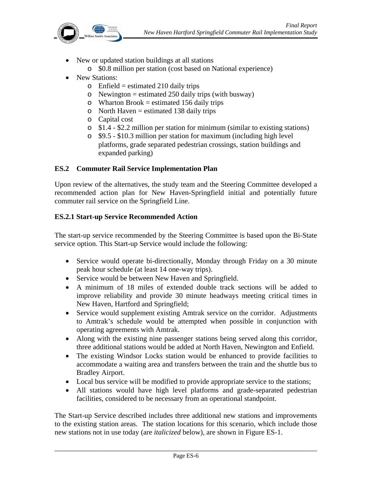

- New or updated station buildings at all stations
	- o \$0.8 million per station (cost based on National experience)
- New Stations:
	- $\circ$  Enfield = estimated 210 daily trips
	- o Newington = estimated 250 daily trips (with busway)
	- $\circ$  Wharton Brook = estimated 156 daily trips
	- $\circ$  North Haven = estimated 138 daily trips
	- o Capital cost
	- o \$1.4 \$2.2 million per station for minimum (similar to existing stations)
	- o \$9.5 \$10.3 million per station for maximum (including high level platforms, grade separated pedestrian crossings, station buildings and expanded parking)

# **ES.2 Commuter Rail Service Implementation Plan**

Upon review of the alternatives, the study team and the Steering Committee developed a recommended action plan for New Haven-Springfield initial and potentially future commuter rail service on the Springfield Line.

# **ES.2.1 Start-up Service Recommended Action**

The start-up service recommended by the Steering Committee is based upon the Bi-State service option. This Start-up Service would include the following:

- Service would operate bi-directionally, Monday through Friday on a 30 minute peak hour schedule (at least 14 one-way trips).
- Service would be between New Haven and Springfield.
- A minimum of 18 miles of extended double track sections will be added to improve reliability and provide 30 minute headways meeting critical times in New Haven, Hartford and Springfield;
- Service would supplement existing Amtrak service on the corridor. Adjustments to Amtrak's schedule would be attempted when possible in conjunction with operating agreements with Amtrak.
- Along with the existing nine passenger stations being served along this corridor, three additional stations would be added at North Haven, Newington and Enfield.
- The existing Windsor Locks station would be enhanced to provide facilities to accommodate a waiting area and transfers between the train and the shuttle bus to Bradley Airport.
- Local bus service will be modified to provide appropriate service to the stations;
- All stations would have high level platforms and grade-separated pedestrian facilities, considered to be necessary from an operational standpoint.

The Start-up Service described includes three additional new stations and improvements to the existing station areas. The station locations for this scenario, which include those new stations not in use today (are *italicized* below), are shown in Figure ES-1.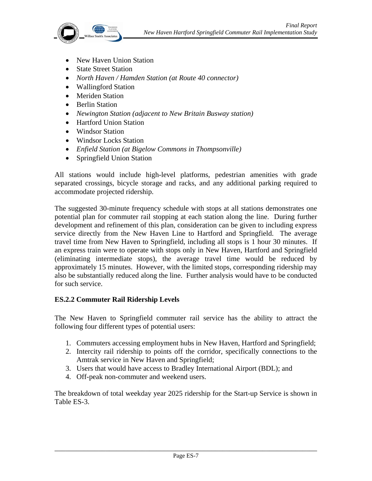

- New Haven Union Station
- State Street Station
- *North Haven / Hamden Station (at Route 40 connector)*
- Wallingford Station
- Meriden Station
- Berlin Station
- *Newington Station (adjacent to New Britain Busway station)*
- Hartford Union Station
- Windsor Station
- Windsor Locks Station
- *Enfield Station (at Bigelow Commons in Thompsonville)*
- Springfield Union Station

All stations would include high-level platforms, pedestrian amenities with grade separated crossings, bicycle storage and racks, and any additional parking required to accommodate projected ridership.

The suggested 30-minute frequency schedule with stops at all stations demonstrates one potential plan for commuter rail stopping at each station along the line. During further development and refinement of this plan, consideration can be given to including express service directly from the New Haven Line to Hartford and Springfield. The average travel time from New Haven to Springfield, including all stops is 1 hour 30 minutes. If an express train were to operate with stops only in New Haven, Hartford and Springfield (eliminating intermediate stops), the average travel time would be reduced by approximately 15 minutes. However, with the limited stops, corresponding ridership may also be substantially reduced along the line. Further analysis would have to be conducted for such service.

#### **ES.2.2 Commuter Rail Ridership Levels**

The New Haven to Springfield commuter rail service has the ability to attract the following four different types of potential users:

- 1. Commuters accessing employment hubs in New Haven, Hartford and Springfield;
- 2. Intercity rail ridership to points off the corridor, specifically connections to the Amtrak service in New Haven and Springfield;
- 3. Users that would have access to Bradley International Airport (BDL); and
- 4. Off-peak non-commuter and weekend users.

The breakdown of total weekday year 2025 ridership for the Start-up Service is shown in Table ES-3.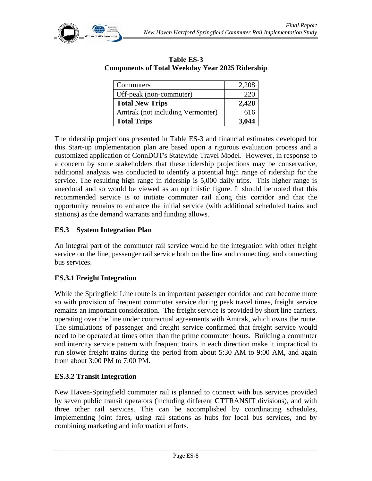

| <b>Components of Total Weekday Year 2025 Ridership</b> |       |  |
|--------------------------------------------------------|-------|--|
| <b>Commuters</b>                                       | 2,208 |  |

**Table ES-3** 

| <b>Total Trips</b>               | 3,044 |
|----------------------------------|-------|
| Amtrak (not including Vermonter) | 616   |
| <b>Total New Trips</b>           | 2,428 |
| Off-peak (non-commuter)          | 220   |
| Commuters                        | 2,208 |

The ridership projections presented in Table ES-3 and financial estimates developed for this Start-up implementation plan are based upon a rigorous evaluation process and a customized application of ConnDOT's Statewide Travel Model. However, in response to a concern by some stakeholders that these ridership projections may be conservative, additional analysis was conducted to identify a potential high range of ridership for the service. The resulting high range in ridership is 5,000 daily trips. This higher range is anecdotal and so would be viewed as an optimistic figure. It should be noted that this recommended service is to initiate commuter rail along this corridor and that the opportunity remains to enhance the initial service (with additional scheduled trains and stations) as the demand warrants and funding allows.

#### **ES.3 System Integration Plan**

An integral part of the commuter rail service would be the integration with other freight service on the line, passenger rail service both on the line and connecting, and connecting bus services.

#### **ES.3.1 Freight Integration**

While the Springfield Line route is an important passenger corridor and can become more so with provision of frequent commuter service during peak travel times, freight service remains an important consideration. The freight service is provided by short line carriers, operating over the line under contractual agreements with Amtrak, which owns the route. The simulations of passenger and freight service confirmed that freight service would need to be operated at times other than the prime commuter hours. Building a commuter and intercity service pattern with frequent trains in each direction make it impractical to run slower freight trains during the period from about 5:30 AM to 9:00 AM, and again from about 3:00 PM to 7:00 PM.

#### **ES.3.2 Transit Integration**

New Haven-Springfield commuter rail is planned to connect with bus services provided by seven public transit operators (including different **CT**TRANSIT divisions), and with three other rail services. This can be accomplished by coordinating schedules, implementing joint fares, using rail stations as hubs for local bus services, and by combining marketing and information efforts.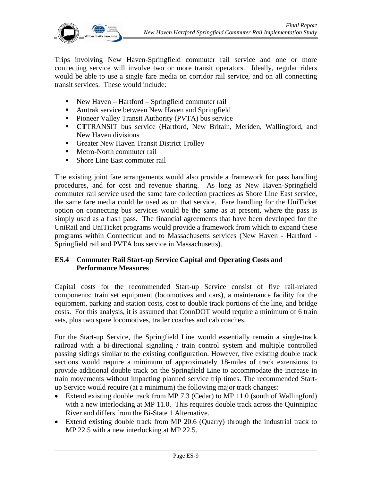

Trips involving New Haven-Springfield commuter rail service and one or more connecting service will involve two or more transit operators. Ideally, regular riders would be able to use a single fare media on corridor rail service, and on all connecting transit services. These would include:

- New Haven Hartford Springfield commuter rail
- **Amtrak service between New Haven and Springfield**
- **Pioneer Valley Transit Authority (PVTA) bus service**
- **CT**TRANSIT bus service (Hartford, New Britain, Meriden, Wallingford, and New Haven divisions
- Greater New Haven Transit District Trolley
- Metro-North commuter rail
- Shore Line East commuter rail

The existing joint fare arrangements would also provide a framework for pass handling procedures, and for cost and revenue sharing. As long as New Haven-Springfield commuter rail service used the same fare collection practices as Shore Line East service, the same fare media could be used as on that service. Fare handling for the UniTicket option on connecting bus services would be the same as at present, where the pass is simply used as a flash pass. The financial agreements that have been developed for the UniRail and UniTicket programs would provide a framework from which to expand these programs within Connecticut and to Massachusetts services (New Haven - Hartford - Springfield rail and PVTA bus service in Massachusetts).

#### **ES.4 Commuter Rail Start-up Service Capital and Operating Costs and Performance Measures**

Capital costs for the recommended Start-up Service consist of five rail-related components: train set equipment (locomotives and cars), a maintenance facility for the equipment, parking and station costs, cost to double track portions of the line, and bridge costs. For this analysis, it is assumed that ConnDOT would require a minimum of 6 train sets, plus two spare locomotives, trailer coaches and cab coaches.

For the Start-up Service, the Springfield Line would essentially remain a single-track railroad with a bi-directional signaling / train control system and multiple controlled passing sidings similar to the existing configuration. However, five existing double track sections would require a minimum of approximately 18-miles of track extensions to provide additional double track on the Springfield Line to accommodate the increase in train movements without impacting planned service trip times. The recommended Startup Service would require (at a minimum) the following major track changes:

- Extend existing double track from MP 7.3 (Cedar) to MP 11.0 (south of Wallingford) with a new interlocking at MP 11.0. This requires double track across the Quinnipiac River and differs from the Bi-State 1 Alternative.
- Extend existing double track from MP 20.6 (Quarry) through the industrial track to MP 22.5 with a new interlocking at MP 22.5.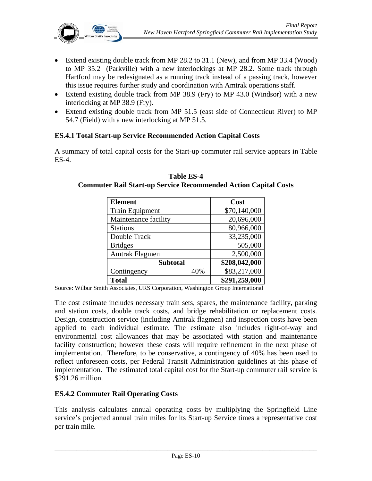- Extend existing double track from MP 28.2 to 31.1 (New), and from MP 33.4 (Wood) to MP 35.2 (Parkville) with a new interlockings at MP 28.2. Some track through Hartford may be redesignated as a running track instead of a passing track, however this issue requires further study and coordination with Amtrak operations staff.
- Extend existing double track from MP 38.9 (Fry) to MP 43.0 (Windsor) with a new interlocking at MP 38.9 (Fry).
- Extend existing double track from MP 51.5 (east side of Connecticut River) to MP 54.7 (Field) with a new interlocking at MP 51.5.

#### **ES.4.1 Total Start-up Service Recommended Action Capital Costs**

A summary of total capital costs for the Start-up commuter rail service appears in Table ES-4.

| <b>Element</b>         |     | Cost          |
|------------------------|-----|---------------|
| <b>Train Equipment</b> |     | \$70,140,000  |
| Maintenance facility   |     | 20,696,000    |
| <b>Stations</b>        |     | 80,966,000    |
| Double Track           |     | 33,235,000    |
| <b>Bridges</b>         |     | 505,000       |
| Amtrak Flagmen         |     | 2,500,000     |
| <b>Subtotal</b>        |     | \$208,042,000 |
| Contingency            | 40% | \$83,217,000  |
| <b>Total</b>           |     | \$291,259,000 |

**Table ES-4 Commuter Rail Start-up Service Recommended Action Capital Costs** 

Source: Wilbur Smith Associates, URS Corporation, Washington Group International

The cost estimate includes necessary train sets, spares, the maintenance facility, parking and station costs, double track costs, and bridge rehabilitation or replacement costs. Design, construction service (including Amtrak flagmen) and inspection costs have been applied to each individual estimate. The estimate also includes right-of-way and environmental cost allowances that may be associated with station and maintenance facility construction; however these costs will require refinement in the next phase of implementation. Therefore, to be conservative, a contingency of 40% has been used to reflect unforeseen costs, per Federal Transit Administration guidelines at this phase of implementation. The estimated total capital cost for the Start-up commuter rail service is \$291.26 million.

#### **ES.4.2 Commuter Rail Operating Costs**

This analysis calculates annual operating costs by multiplying the Springfield Line service's projected annual train miles for its Start-up Service times a representative cost per train mile.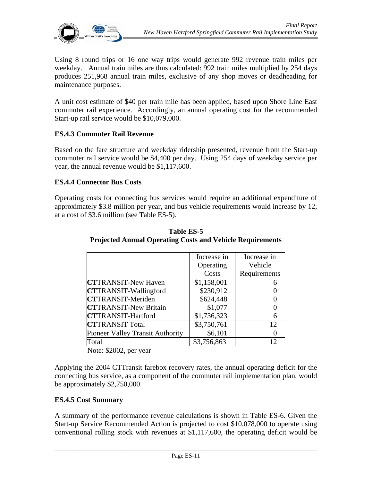

Using 8 round trips or 16 one way trips would generate 992 revenue train miles per weekday. Annual train miles are thus calculated: 992 train miles multiplied by 254 days produces 251,968 annual train miles, exclusive of any shop moves or deadheading for maintenance purposes.

A unit cost estimate of \$40 per train mile has been applied, based upon Shore Line East commuter rail experience. Accordingly, an annual operating cost for the recommended Start-up rail service would be \$10,079,000.

#### **ES.4.3 Commuter Rail Revenue**

Based on the fare structure and weekday ridership presented, revenue from the Start-up commuter rail service would be \$4,400 per day. Using 254 days of weekday service per year, the annual revenue would be \$1,117,600.

#### **ES.4.4 Connector Bus Costs**

Operating costs for connecting bus services would require an additional expenditure of approximately \$3.8 million per year, and bus vehicle requirements would increase by 12, at a cost of \$3.6 million (see Table ES-5).

|                                  | Increase in | Increase in  |
|----------------------------------|-------------|--------------|
|                                  | Operating   | Vehicle      |
|                                  | Costs       | Requirements |
| <b>CTTRANSIT-New Haven</b>       | \$1,158,001 |              |
| <b>CTTRANSIT-Wallingford</b>     | \$230,912   |              |
| <b>CTTRANSIT-Meriden</b>         | \$624,448   |              |
| <b>CTTRANSIT-New Britain</b>     | \$1,077     |              |
| <b>CTTRANSIT-Hartford</b>        | \$1,736,323 | 6            |
| <b>CTTRANSIT Total</b>           | \$3,750,761 | 12           |
| Pioneer Valley Transit Authority | \$6,101     | $\left($     |
| Total                            | \$3,756,863 | 12           |

**Table ES-5 Projected Annual Operating Costs and Vehicle Requirements** 

Note: \$2002, per year

Applying the 2004 CTTransit farebox recovery rates, the annual operating deficit for the connecting bus service, as a component of the commuter rail implementation plan, would be approximately \$2,750,000.

#### **ES.4.5 Cost Summary**

A summary of the performance revenue calculations is shown in Table ES-6. Given the Start-up Service Recommended Action is projected to cost \$10,078,000 to operate using conventional rolling stock with revenues at \$1,117,600, the operating deficit would be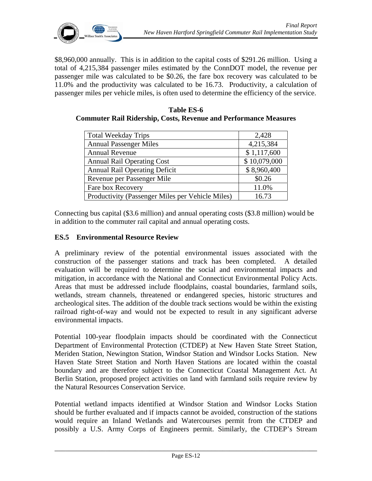

\$8,960,000 annually. This is in addition to the capital costs of \$291.26 million. Using a total of 4,215,384 passenger miles estimated by the ConnDOT model, the revenue per passenger mile was calculated to be \$0.26, the fare box recovery was calculated to be 11.0% and the productivity was calculated to be 16.73. Productivity, a calculation of passenger miles per vehicle miles, is often used to determine the efficiency of the service.

| <b>Table ES-6</b>                                                       |  |  |  |  |
|-------------------------------------------------------------------------|--|--|--|--|
| <b>Commuter Rail Ridership, Costs, Revenue and Performance Measures</b> |  |  |  |  |

| <b>Total Weekday Trips</b>                       | 2,428        |
|--------------------------------------------------|--------------|
| <b>Annual Passenger Miles</b>                    | 4,215,384    |
| <b>Annual Revenue</b>                            | \$1,117,600  |
| <b>Annual Rail Operating Cost</b>                | \$10,079,000 |
| <b>Annual Rail Operating Deficit</b>             | \$8,960,400  |
| Revenue per Passenger Mile                       | \$0.26       |
| Fare box Recovery                                | 11.0%        |
| Productivity (Passenger Miles per Vehicle Miles) | 16.73        |

Connecting bus capital (\$3.6 million) and annual operating costs (\$3.8 million) would be in addition to the commuter rail capital and annual operating costs.

# **ES.5 Environmental Resource Review**

A preliminary review of the potential environmental issues associated with the construction of the passenger stations and track has been completed. A detailed evaluation will be required to determine the social and environmental impacts and mitigation, in accordance with the National and Connecticut Environmental Policy Acts. Areas that must be addressed include floodplains, coastal boundaries, farmland soils, wetlands, stream channels, threatened or endangered species, historic structures and archeological sites. The addition of the double track sections would be within the existing railroad right-of-way and would not be expected to result in any significant adverse environmental impacts.

Potential 100-year floodplain impacts should be coordinated with the Connecticut Department of Environmental Protection (CTDEP) at New Haven State Street Station, Meriden Station, Newington Station, Windsor Station and Windsor Locks Station. New Haven State Street Station and North Haven Stations are located within the coastal boundary and are therefore subject to the Connecticut Coastal Management Act. At Berlin Station, proposed project activities on land with farmland soils require review by the Natural Resources Conservation Service.

Potential wetland impacts identified at Windsor Station and Windsor Locks Station should be further evaluated and if impacts cannot be avoided, construction of the stations would require an Inland Wetlands and Watercourses permit from the CTDEP and possibly a U.S. Army Corps of Engineers permit. Similarly, the CTDEP's Stream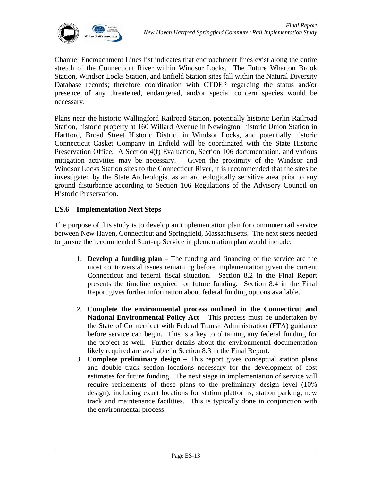

Channel Encroachment Lines list indicates that encroachment lines exist along the entire stretch of the Connecticut River within Windsor Locks. The Future Wharton Brook Station, Windsor Locks Station, and Enfield Station sites fall within the Natural Diversity Database records; therefore coordination with CTDEP regarding the status and/or presence of any threatened, endangered, and/or special concern species would be necessary.

Plans near the historic Wallingford Railroad Station, potentially historic Berlin Railroad Station, historic property at 160 Willard Avenue in Newington, historic Union Station in Hartford, Broad Street Historic District in Windsor Locks, and potentially historic Connecticut Casket Company in Enfield will be coordinated with the State Historic Preservation Office. A Section 4(f) Evaluation, Section 106 documentation, and various mitigation activities may be necessary. Given the proximity of the Windsor and Windsor Locks Station sites to the Connecticut River, it is recommended that the sites be investigated by the State Archeologist as an archeologically sensitive area prior to any ground disturbance according to Section 106 Regulations of the Advisory Council on Historic Preservation.

#### **ES.6 Implementation Next Steps**

The purpose of this study is to develop an implementation plan for commuter rail service between New Haven, Connecticut and Springfield, Massachusetts. The next steps needed to pursue the recommended Start-up Service implementation plan would include:

- 1. **Develop a funding plan** The funding and financing of the service are the most controversial issues remaining before implementation given the current Connecticut and federal fiscal situation. Section 8.2 in the Final Report presents the timeline required for future funding. Section 8.4 in the Final Report gives further information about federal funding options available.
- *2.* **Complete the environmental process outlined in the Connecticut and National Environmental Policy Act** – This process must be undertaken by the State of Connecticut with Federal Transit Administration (FTA) guidance before service can begin. This is a key to obtaining any federal funding for the project as well. Further details about the environmental documentation likely required are available in Section 8.3 in the Final Report.
- 3. **Complete preliminary design**  This report gives conceptual station plans and double track section locations necessary for the development of cost estimates for future funding. The next stage in implementation of service will require refinements of these plans to the preliminary design level (10% design), including exact locations for station platforms, station parking, new track and maintenance facilities. This is typically done in conjunction with the environmental process.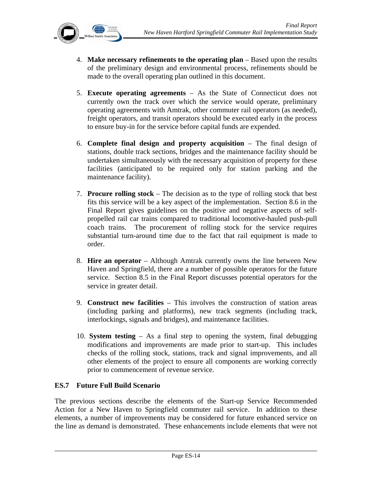

- 4. **Make necessary refinements to the operating plan** Based upon the results of the preliminary design and environmental process, refinements should be made to the overall operating plan outlined in this document.
- 5. **Execute operating agreements** As the State of Connecticut does not currently own the track over which the service would operate, preliminary operating agreements with Amtrak, other commuter rail operators (as needed), freight operators, and transit operators should be executed early in the process to ensure buy-in for the service before capital funds are expended.
- 6. **Complete final design and property acquisition** The final design of stations, double track sections, bridges and the maintenance facility should be undertaken simultaneously with the necessary acquisition of property for these facilities (anticipated to be required only for station parking and the maintenance facility).
- 7. **Procure rolling stock** The decision as to the type of rolling stock that best fits this service will be a key aspect of the implementation. Section 8.6 in the Final Report gives guidelines on the positive and negative aspects of selfpropelled rail car trains compared to traditional locomotive-hauled push-pull coach trains. The procurement of rolling stock for the service requires substantial turn-around time due to the fact that rail equipment is made to order.
- 8. **Hire an operator** Although Amtrak currently owns the line between New Haven and Springfield, there are a number of possible operators for the future service. Section 8.5 in the Final Report discusses potential operators for the service in greater detail.
- 9. **Construct new facilities**  This involves the construction of station areas (including parking and platforms), new track segments (including track, interlockings, signals and bridges), and maintenance facilities.
- 10. **System testing** As a final step to opening the system, final debugging modifications and improvements are made prior to start-up. This includes checks of the rolling stock, stations, track and signal improvements, and all other elements of the project to ensure all components are working correctly prior to commencement of revenue service.

#### **ES.7 Future Full Build Scenario**

The previous sections describe the elements of the Start-up Service Recommended Action for a New Haven to Springfield commuter rail service. In addition to these elements, a number of improvements may be considered for future enhanced service on the line as demand is demonstrated. These enhancements include elements that were not